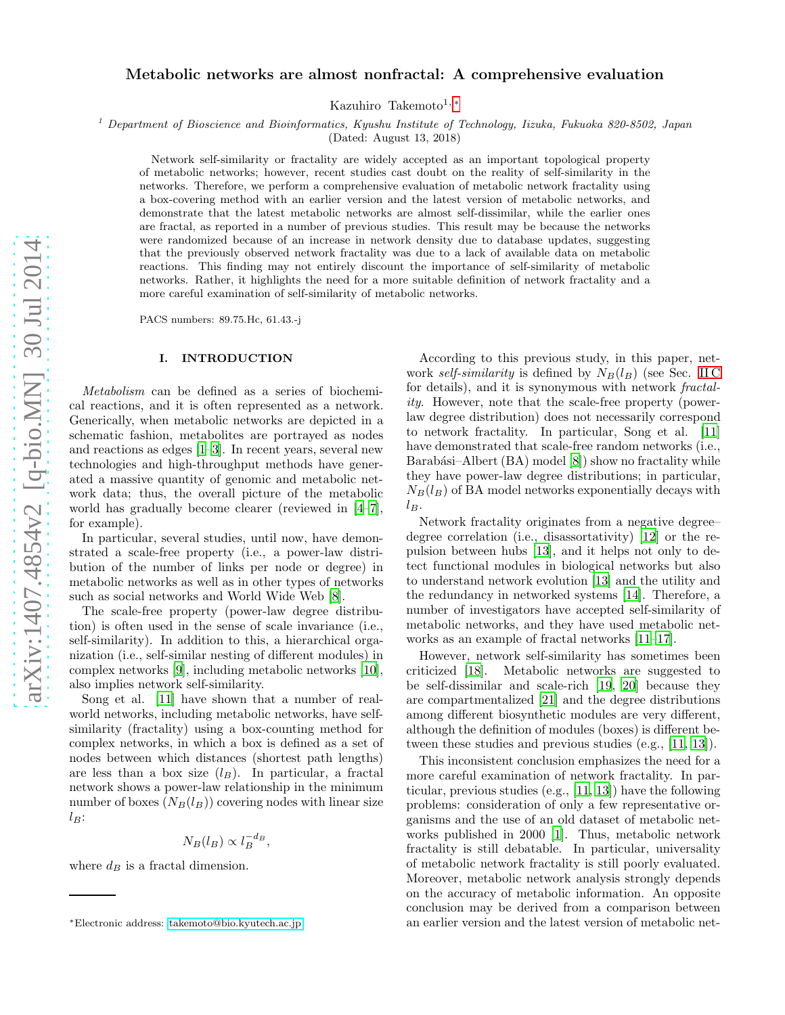# Metabolic networks are almost nonfractal: A comprehensive evaluation

Kazuhiro Takemoto<sup>1,\*</sup>

<sup>1</sup> Department of Bioscience and Bioinformatics, Kyushu Institute of Technology, Iizuka, Fukuoka 820-8502, Japan

(Dated: August 13, 2018)

Network self-similarity or fractality are widely accepted as an important topological property of metabolic networks; however, recent studies cast doubt on the reality of self-similarity in the networks. Therefore, we perform a comprehensive evaluation of metabolic network fractality using a box-covering method with an earlier version and the latest version of metabolic networks, and demonstrate that the latest metabolic networks are almost self-dissimilar, while the earlier ones are fractal, as reported in a number of previous studies. This result may be because the networks were randomized because of an increase in network density due to database updates, suggesting that the previously observed network fractality was due to a lack of available data on metabolic reactions. This finding may not entirely discount the importance of self-similarity of metabolic networks. Rather, it highlights the need for a more suitable definition of network fractality and a more careful examination of self-similarity of metabolic networks.

PACS numbers: 89.75.Hc, 61.43.-j

# I. INTRODUCTION

Metabolism can be defined as a series of biochemical reactions, and it is often represented as a network. Generically, when metabolic networks are depicted in a schematic fashion, metabolites are portrayed as nodes and reactions as edges [\[1](#page-5-0)[–3\]](#page-5-1). In recent years, several new technologies and high-throughput methods have generated a massive quantity of genomic and metabolic network data; thus, the overall picture of the metabolic world has gradually become clearer (reviewed in [\[4](#page-5-2)[–7\]](#page-5-3), for example).

In particular, several studies, until now, have demonstrated a scale-free property (i.e., a power-law distribution of the number of links per node or degree) in metabolic networks as well as in other types of networks such as social networks and World Wide Web [\[8\]](#page-5-4).

The scale-free property (power-law degree distribution) is often used in the sense of scale invariance (i.e., self-similarity). In addition to this, a hierarchical organization (i.e., self-similar nesting of different modules) in complex networks [\[9](#page-5-5)], including metabolic networks [\[10\]](#page-5-6), also implies network self-similarity.

Song et al. [\[11\]](#page-5-7) have shown that a number of realworld networks, including metabolic networks, have selfsimilarity (fractality) using a box-counting method for complex networks, in which a box is defined as a set of nodes between which distances (shortest path lengths) are less than a box size  $(l_B)$ . In particular, a fractal network shows a power-law relationship in the minimum number of boxes  $(N_B(l_B))$  covering nodes with linear size  $l_B$ :

$$
N_B(l_B) \propto l_B^{-d_B},
$$

where  $d_B$  is a fractal dimension.

According to this previous study, in this paper, network self-similarity is defined by  $N_B(l_B)$  (see Sec. [II C](#page-1-0) for details), and it is synonymous with network *fractal*ity. However, note that the scale-free property (powerlaw degree distribution) does not necessarily correspond to network fractality. In particular, Song et al. [\[11](#page-5-7)] have demonstrated that scale-free random networks (i.e., Barabási–Albert  $(BA)$  model  $[8]$ ) show no fractality while they have power-law degree distributions; in particular,  $N_B(l_B)$  of BA model networks exponentially decays with  $l_B$ .

Network fractality originates from a negative degree– degree correlation (i.e., disassortativity) [\[12\]](#page-5-8) or the repulsion between hubs [\[13](#page-5-9)], and it helps not only to detect functional modules in biological networks but also to understand network evolution [\[13](#page-5-9)] and the utility and the redundancy in networked systems [\[14](#page-5-10)]. Therefore, a number of investigators have accepted self-similarity of metabolic networks, and they have used metabolic networks as an example of fractal networks [\[11](#page-5-7)[–17\]](#page-5-11).

However, network self-similarity has sometimes been criticized [\[18\]](#page-5-12). Metabolic networks are suggested to be self-dissimilar and scale-rich [\[19](#page-5-13), [20\]](#page-5-14) because they are compartmentalized [\[21\]](#page-5-15) and the degree distributions among different biosynthetic modules are very different, although the definition of modules (boxes) is different between these studies and previous studies (e.g., [\[11](#page-5-7), [13](#page-5-9)]).

This inconsistent conclusion emphasizes the need for a more careful examination of network fractality. In particular, previous studies (e.g., [\[11,](#page-5-7) [13](#page-5-9)]) have the following problems: consideration of only a few representative organisms and the use of an old dataset of metabolic networks published in 2000 [\[1\]](#page-5-0). Thus, metabolic network fractality is still debatable. In particular, universality of metabolic network fractality is still poorly evaluated. Moreover, metabolic network analysis strongly depends on the accuracy of metabolic information. An opposite conclusion may be derived from a comparison between an earlier version and the latest version of metabolic net-

<span id="page-0-0"></span><sup>∗</sup>Electronic address: [takemoto@bio.kyutech.ac.jp](mailto:takemoto@bio.kyutech.ac.jp)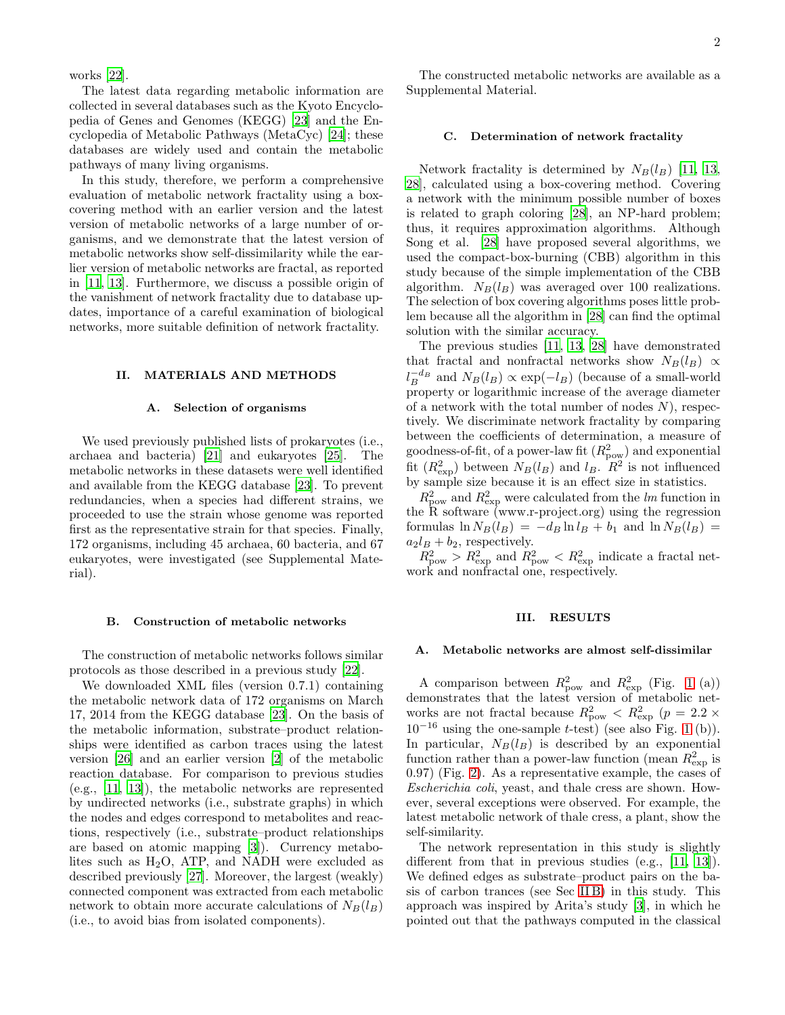The latest data regarding metabolic information are collected in several databases such as the Kyoto Encyclopedia of Genes and Genomes (KEGG) [\[23\]](#page-5-17) and the Encyclopedia of Metabolic Pathways (MetaCyc) [\[24](#page-5-18)]; these databases are widely used and contain the metabolic pathways of many living organisms.

In this study, therefore, we perform a comprehensive evaluation of metabolic network fractality using a boxcovering method with an earlier version and the latest version of metabolic networks of a large number of organisms, and we demonstrate that the latest version of metabolic networks show self-dissimilarity while the earlier version of metabolic networks are fractal, as reported in [\[11,](#page-5-7) [13](#page-5-9)]. Furthermore, we discuss a possible origin of the vanishment of network fractality due to database updates, importance of a careful examination of biological networks, more suitable definition of network fractality.

## II. MATERIALS AND METHODS

### A. Selection of organisms

We used previously published lists of prokaryotes (i.e., archaea and bacteria) [\[21](#page-5-15)] and eukaryotes [\[25](#page-5-19)]. The metabolic networks in these datasets were well identified and available from the KEGG database [\[23](#page-5-17)]. To prevent redundancies, when a species had different strains, we proceeded to use the strain whose genome was reported first as the representative strain for that species. Finally, 172 organisms, including 45 archaea, 60 bacteria, and 67 eukaryotes, were investigated (see Supplemental Material).

#### <span id="page-1-1"></span>B. Construction of metabolic networks

The construction of metabolic networks follows similar protocols as those described in a previous study [\[22](#page-5-16)].

We downloaded XML files (version 0.7.1) containing the metabolic network data of 172 organisms on March 17, 2014 from the KEGG database [\[23](#page-5-17)]. On the basis of the metabolic information, substrate–product relationships were identified as carbon traces using the latest version [\[26\]](#page-5-20) and an earlier version [\[2\]](#page-5-21) of the metabolic reaction database. For comparison to previous studies (e.g., [\[11,](#page-5-7) [13](#page-5-9)]), the metabolic networks are represented by undirected networks (i.e., substrate graphs) in which the nodes and edges correspond to metabolites and reactions, respectively (i.e., substrate–product relationships are based on atomic mapping [\[3\]](#page-5-1)). Currency metabolites such as  $H_2O$ , ATP, and NADH were excluded as described previously [\[27\]](#page-5-22). Moreover, the largest (weakly) connected component was extracted from each metabolic network to obtain more accurate calculations of  $N_B(l_B)$ (i.e., to avoid bias from isolated components).

The constructed metabolic networks are available as a Supplemental Material.

#### <span id="page-1-0"></span>C. Determination of network fractality

Network fractality is determined by  $N_B(l_B)$  [\[11,](#page-5-7) [13](#page-5-9), [28\]](#page-5-23), calculated using a box-covering method. Covering a network with the minimum possible number of boxes is related to graph coloring [\[28\]](#page-5-23), an NP-hard problem; thus, it requires approximation algorithms. Although Song et al. [\[28](#page-5-23)] have proposed several algorithms, we used the compact-box-burning (CBB) algorithm in this study because of the simple implementation of the CBB algorithm.  $N_B(l_B)$  was averaged over 100 realizations. The selection of box covering algorithms poses little problem because all the algorithm in [\[28\]](#page-5-23) can find the optimal solution with the similar accuracy.

The previous studies [\[11,](#page-5-7) [13](#page-5-9), [28](#page-5-23)] have demonstrated that fractal and nonfractal networks show  $N_B(l_B) \propto$  $l_B^{-d_B}$  and  $N_B(l_B) \propto \exp(-l_B)$  (because of a small-world property or logarithmic increase of the average diameter of a network with the total number of nodes  $N$ ), respectively. We discriminate network fractality by comparing between the coefficients of determination, a measure of goodness-of-fit, of a power-law fit  $(R_{\text{pow}}^2)$  and exponential fit  $(R_{\text{exp}}^2)$  between  $N_B(l_B)$  and  $l_B$ .  $R^2$  is not influenced by sample size because it is an effect size in statistics.

 $R_{\text{pow}}^2$  and  $R_{\text{exp}}^2$  were calculated from the lm function in the R software (www.r-project.org) using the regression formulas  $\ln N_B(l_B) = -d_B \ln l_B + b_1$  and  $\ln N_B(l_B) =$  $a_2l_B + b_2$ , respectively.

 $R_{\text{pow}}^2 > R_{\text{exp}}^2$  and  $R_{\text{pow}}^2 < R_{\text{exp}}^2$  indicate a fractal network and nonfractal one, respectively.

#### III. RESULTS

### A. Metabolic networks are almost self-dissimilar

A comparison between  $R_{\text{pow}}^2$  and  $R_{\text{exp}}^2$  (Fig. [1](#page-2-0) (a)) demonstrates that the latest version of metabolic networks are not fractal because  $R_{\text{pow}}^2 < R_{\text{exp}}^2$  ( $p = 2.2 \times$  $10^{-16}$  using the one-sample t-test) (see also Fig. [1](#page-2-0) (b)). In particular,  $N_B(l_B)$  is described by an exponential function rather than a power-law function (mean  $R^2_{\text{exp}}$  is 0.97) (Fig. [2\)](#page-3-0). As a representative example, the cases of Escherichia coli, yeast, and thale cress are shown. However, several exceptions were observed. For example, the latest metabolic network of thale cress, a plant, show the self-similarity.

The network representation in this study is slightly different from that in previous studies (e.g., [\[11](#page-5-7), [13\]](#page-5-9)). We defined edges as substrate–product pairs on the basis of carbon trances (see Sec [II B\)](#page-1-1) in this study. This approach was inspired by Arita's study [\[3\]](#page-5-1), in which he pointed out that the pathways computed in the classical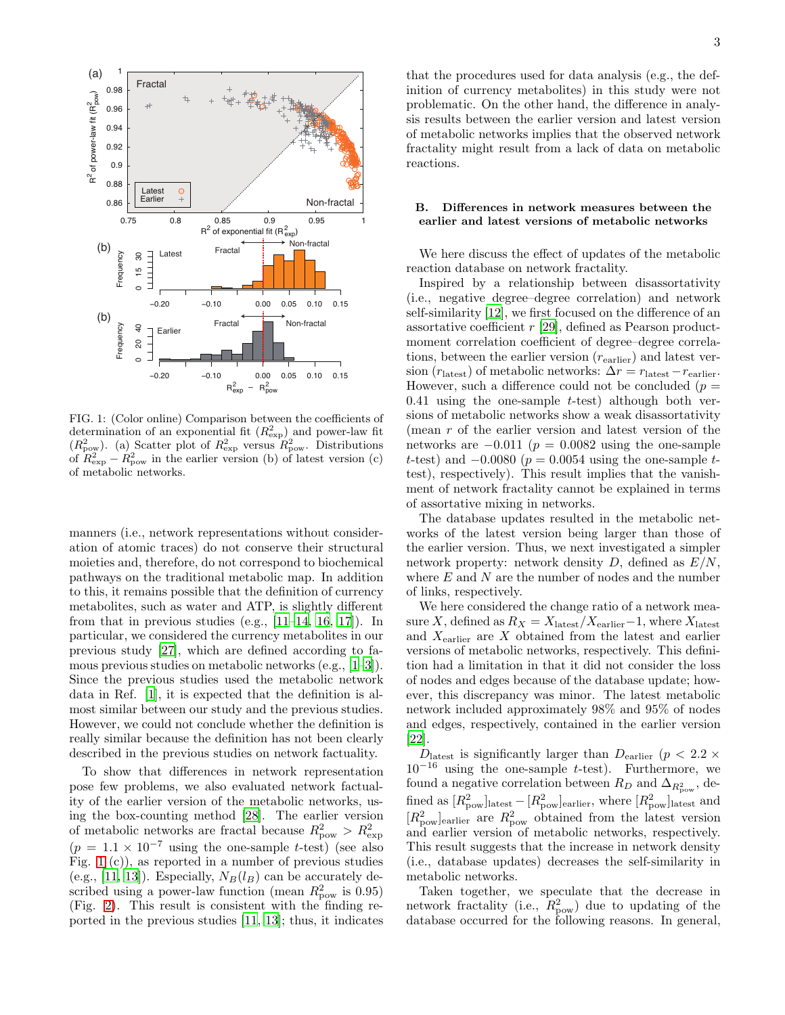

<span id="page-2-0"></span>FIG. 1: (Color online) Comparison between the coefficients of determination of an exponential fit  $(R_{\rm exp})$  and power-law fit  $(R_{\text{pow}}^2)$ . (a) Scatter plot of  $R_{\text{exp}}^2$  versus  $R_{\text{pow}}^2$ . Distributions of  $R_{\text{exp}}^2 - R_{\text{pow}}^2$  in the earlier version (b) of latest version (c) of metabolic networks.

manners (i.e., network representations without consideration of atomic traces) do not conserve their structural moieties and, therefore, do not correspond to biochemical pathways on the traditional metabolic map. In addition to this, it remains possible that the definition of currency metabolites, such as water and ATP, is slightly different from that in previous studies (e.g.,  $[11-14, 16, 17]$  $[11-14, 16, 17]$  $[11-14, 16, 17]$  $[11-14, 16, 17]$  $[11-14, 16, 17]$ ). In particular, we considered the currency metabolites in our previous study [\[27\]](#page-5-22), which are defined according to famous previous studies on metabolic networks (e.g., [\[1](#page-5-0)[–3\]](#page-5-1)). Since the previous studies used the metabolic network data in Ref. [\[1\]](#page-5-0), it is expected that the definition is almost similar between our study and the previous studies. However, we could not conclude whether the definition is really similar because the definition has not been clearly described in the previous studies on network factuality.

To show that differences in network representation pose few problems, we also evaluated network factuality of the earlier version of the metabolic networks, using the box-counting method [\[28\]](#page-5-23). The earlier version of metabolic networks are fractal because  $R_{\text{pow}}^2 > R_{\text{exp}}^2$  $(p = 1.1 \times 10^{-7}$  using the one-sample t-test) (see also Fig. [1](#page-2-0) (c)), as reported in a number of previous studies (e.g., [\[11,](#page-5-7) [13\]](#page-5-9)). Especially,  $N_B(l_B)$  can be accurately described using a power-law function (mean  $R_{\text{pow}}^2$  is 0.95) (Fig. [2\)](#page-3-0). This result is consistent with the finding reported in the previous studies [\[11,](#page-5-7) [13\]](#page-5-9); thus, it indicates

that the procedures used for data analysis (e.g., the definition of currency metabolites) in this study were not problematic. On the other hand, the difference in analysis results between the earlier version and latest version of metabolic networks implies that the observed network fractality might result from a lack of data on metabolic reactions.

# <span id="page-2-1"></span>B. Differences in network measures between the earlier and latest versions of metabolic networks

We here discuss the effect of updates of the metabolic reaction database on network fractality.

Inspired by a relationship between disassortativity (i.e., negative degree–degree correlation) and network self-similarity [\[12\]](#page-5-8), we first focused on the difference of an assortative coefficient r [\[29](#page-5-25)], defined as Pearson productmoment correlation coefficient of degree–degree correlations, between the earlier version  $(r_{\text{earlier}})$  and latest version ( $r_{\text{last}}$ ) of metabolic networks:  $\Delta r = r_{\text{last}} - r_{\text{earlier}}$ . However, such a difference could not be concluded ( $p =$ 0.41 using the one-sample  $t$ -test) although both versions of metabolic networks show a weak disassortativity (mean r of the earlier version and latest version of the networks are  $-0.011$  ( $p = 0.0082$  using the one-sample t-test) and  $-0.0080$  ( $p = 0.0054$  using the one-sample ttest), respectively). This result implies that the vanishment of network fractality cannot be explained in terms of assortative mixing in networks.

The database updates resulted in the metabolic networks of the latest version being larger than those of the earlier version. Thus, we next investigated a simpler network property: network density  $D$ , defined as  $E/N$ , where  $E$  and  $N$  are the number of nodes and the number of links, respectively.

We here considered the change ratio of a network measure X, defined as  $R_X = X_{\rm latest}/X_{\rm earlier}{\rm -1,}$  where  $X_{\rm latest}$ and  $X_{\text{earlier}}$  are  $X$  obtained from the latest and earlier versions of metabolic networks, respectively. This definition had a limitation in that it did not consider the loss of nodes and edges because of the database update; however, this discrepancy was minor. The latest metabolic network included approximately 98% and 95% of nodes and edges, respectively, contained in the earlier version [\[22\]](#page-5-16).

 $D_{\text{lastest}}$  is significantly larger than  $D_{\text{earlier}}$  ( $p < 2.2 \times$  $10^{-16}$  using the one-sample t-test). Furthermore, we found a negative correlation between  $R_D$  and  $\Delta_{R^2_{\text{pow}}},$  defined as  $[R_{\text{pow}}^2]$ <sub>latest</sub>  $-[R_{\text{pow}}^2]$ <sub>earlier</sub>, where  $[R_{\text{pow}}^2]$ <sub>latest</sub> and  $[R_{\text{pow}}^2]$ <sub>earlier</sub> are  $R_{\text{pow}}^2$  obtained from the latest version and earlier version of metabolic networks, respectively. This result suggests that the increase in network density (i.e., database updates) decreases the self-similarity in metabolic networks.

Taken together, we speculate that the decrease in network fractality (i.e.,  $R_{\text{pow}}^2$ ) due to updating of the database occurred for the following reasons. In general,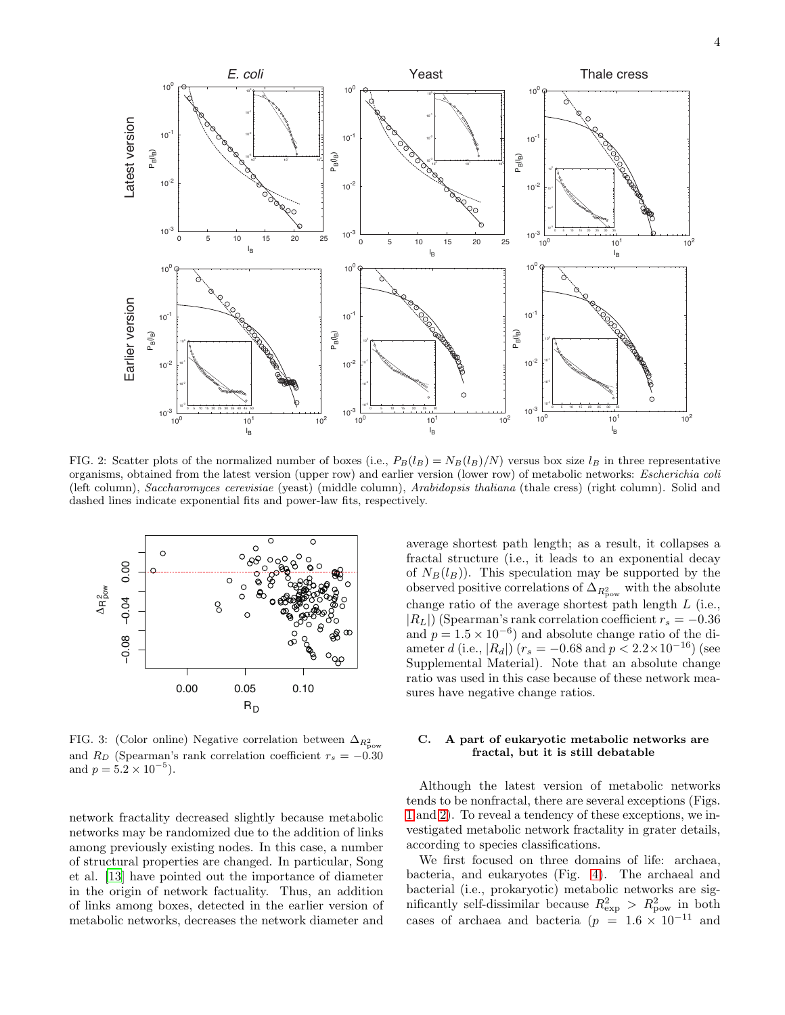

<span id="page-3-0"></span>FIG. 2: Scatter plots of the normalized number of boxes (i.e.,  $P_B(l_B) = N_B(l_B)/N$ ) versus box size  $l_B$  in three representative organisms, obtained from the latest version (upper row) and earlier version (lower row) of metabolic networks: Escherichia coli (left column), Saccharomyces cerevisiae (yeast) (middle column), Arabidopsis thaliana (thale cress) (right column). Solid and dashed lines indicate exponential fits and power-law fits, respectively.



<span id="page-3-1"></span>FIG. 3: (Color online) Negative correlation between  $\Delta_{R^2_{\text{pow}}}$ and  $R_D$  (Spearman's rank correlation coefficient  $r_s = -0.30$ and  $p = 5.2 \times 10^{-5}$ ).

network fractality decreased slightly because metabolic networks may be randomized due to the addition of links among previously existing nodes. In this case, a number of structural properties are changed. In particular, Song et al. [\[13\]](#page-5-9) have pointed out the importance of diameter in the origin of network factuality. Thus, an addition of links among boxes, detected in the earlier version of metabolic networks, decreases the network diameter and

average shortest path length; as a result, it collapses a fractal structure (i.e., it leads to an exponential decay of  $N_B(l_B)$ ). This speculation may be supported by the observed positive correlations of  $\Delta_{R^2_{\text{pow}}}$  with the absolute change ratio of the average shortest path length L (i.e.,  $|R_L|$ ) (Spearman's rank correlation coefficient  $r_s = -0.36$ and  $p = 1.5 \times 10^{-6}$  and absolute change ratio of the diameter d (i.e.,  $|R_d|$ ) ( $r_s = -0.68$  and  $p < 2.2 \times 10^{-16}$ ) (see Supplemental Material). Note that an absolute change ratio was used in this case because of these network measures have negative change ratios.

# C. A part of eukaryotic metabolic networks are fractal, but it is still debatable

Although the latest version of metabolic networks tends to be nonfractal, there are several exceptions (Figs. [1](#page-2-0) and [2\)](#page-3-0). To reveal a tendency of these exceptions, we investigated metabolic network fractality in grater details, according to species classifications.

We first focused on three domains of life: archaea, bacteria, and eukaryotes (Fig. [4\)](#page-4-0). The archaeal and bacterial (i.e., prokaryotic) metabolic networks are significantly self-dissimilar because  $R^2_{\text{exp}} > R^2_{\text{pow}}$  in both cases of archaea and bacteria ( $p = 1.6 \times 10^{-11}$  and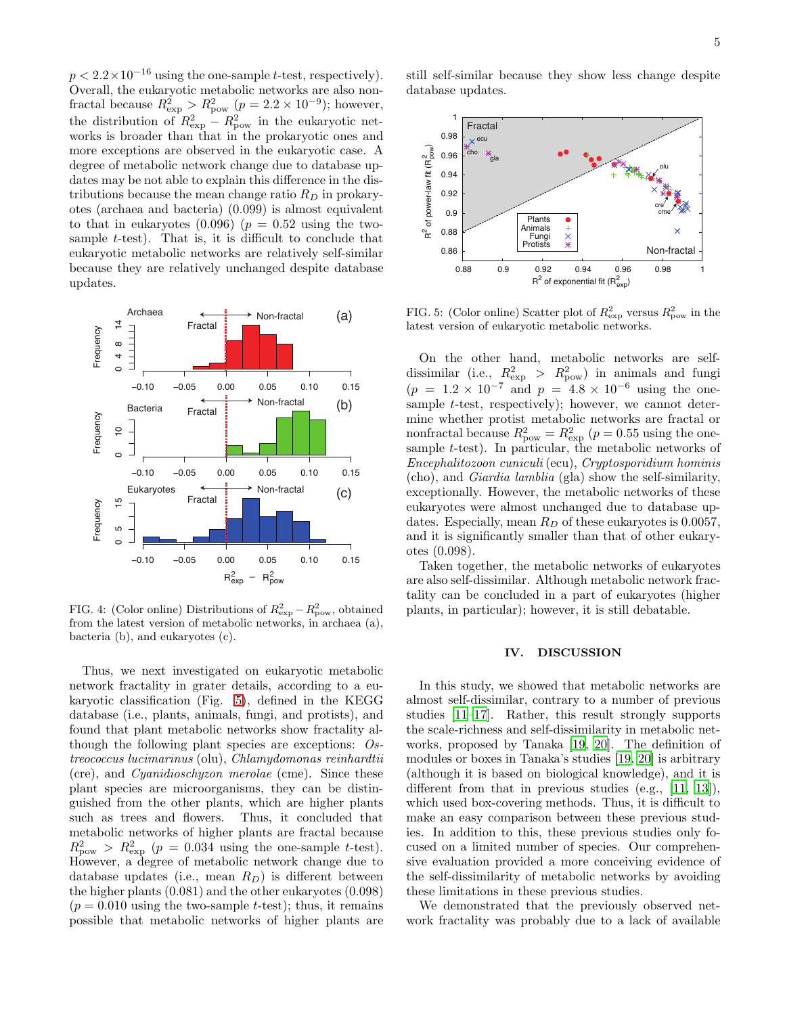$p < 2.2 \times 10^{-16}$  using the one-sample t-test, respectively). Overall, the eukaryotic metabolic networks are also nonfractal because  $R_{\text{exp}}^2 > R_{\text{pow}}^2$  ( $p = 2.2 \times 10^{-9}$ ); however, the distribution of  $R_{\text{exp}}^2 - R_{\text{pow}}^2$  in the eukaryotic networks is broader than that in the prokaryotic ones and more exceptions are observed in the eukaryotic case. A degree of metabolic network change due to database updates may be not able to explain this difference in the distributions because the mean change ratio  $R_D$  in prokaryotes (archaea and bacteria) (0.099) is almost equivalent to that in eukaryotes  $(0.096)$   $(p = 0.52$  using the twosample t-test). That is, it is difficult to conclude that eukaryotic metabolic networks are relatively self-similar because they are relatively unchanged despite database updates.



<span id="page-4-0"></span>FIG. 4: (Color online) Distributions of  $R_{\rm exp}^2 - R_{\rm pow}^2$ , obtained from the latest version of metabolic networks, in archaea (a), bacteria (b), and eukaryotes (c).

Thus, we next investigated on eukaryotic metabolic network fractality in grater details, according to a eukaryotic classification (Fig. [5\)](#page-4-1), defined in the KEGG database (i.e., plants, animals, fungi, and protists), and found that plant metabolic networks show fractality although the following plant species are exceptions: Ostreococcus lucimarinus (olu), Chlamydomonas reinhardtii (cre), and Cyanidioschyzon merolae (cme). Since these plant species are microorganisms, they can be distinguished from the other plants, which are higher plants such as trees and flowers. Thus, it concluded that metabolic networks of higher plants are fractal because  $R_{\text{pow}}^2 > R_{\text{exp}}^2$  ( $p = 0.034$  using the one-sample t-test). However, a degree of metabolic network change due to database updates (i.e., mean  $R_D$ ) is different between the higher plants (0.081) and the other eukaryotes (0.098)  $(p = 0.010$  using the two-sample t-test); thus, it remains possible that metabolic networks of higher plants are

still self-similar because they show less change despite database updates.



<span id="page-4-1"></span>FIG. 5: (Color online) Scatter plot of  $R_{\text{exp}}^2$  versus  $R_{\text{pow}}^2$  in the latest version of eukaryotic metabolic networks.

On the other hand, metabolic networks are selfdissimilar (i.e.,  $R_{\text{exp}}^2 > R_{\text{pow}}^2$ ) in animals and fungi  $(p = 1.2 \times 10^{-7} \text{ and } p = 4.8 \times 10^{-6} \text{ using the one-}$ sample *t*-test, respectively); however, we cannot determine whether protist metabolic networks are fractal or nonfractal because  $R_{\text{pow}}^2 = R_{\text{exp}}^2$  ( $p = 0.55$  using the onesample t-test). In particular, the metabolic networks of Encephalitozoon cuniculi (ecu), Cryptosporidium hominis (cho), and Giardia lamblia (gla) show the self-similarity, exceptionally. However, the metabolic networks of these eukaryotes were almost unchanged due to database updates. Especially, mean  $R_D$  of these eukaryotes is 0.0057, and it is significantly smaller than that of other eukaryotes (0.098).

Taken together, the metabolic networks of eukaryotes are also self-dissimilar. Although metabolic network fractality can be concluded in a part of eukaryotes (higher plants, in particular); however, it is still debatable.

### IV. DISCUSSION

In this study, we showed that metabolic networks are almost self-dissimilar, contrary to a number of previous studies [\[11](#page-5-7)[–17\]](#page-5-11). Rather, this result strongly supports the scale-richness and self-dissimilarity in metabolic networks, proposed by Tanaka [\[19,](#page-5-13) [20\]](#page-5-14). The definition of modules or boxes in Tanaka's studies [\[19](#page-5-13), [20\]](#page-5-14) is arbitrary (although it is based on biological knowledge), and it is different from that in previous studies (e.g., [\[11](#page-5-7), [13\]](#page-5-9)), which used box-covering methods. Thus, it is difficult to make an easy comparison between these previous studies. In addition to this, these previous studies only focused on a limited number of species. Our comprehensive evaluation provided a more conceiving evidence of the self-dissimilarity of metabolic networks by avoiding these limitations in these previous studies.

We demonstrated that the previously observed network fractality was probably due to a lack of available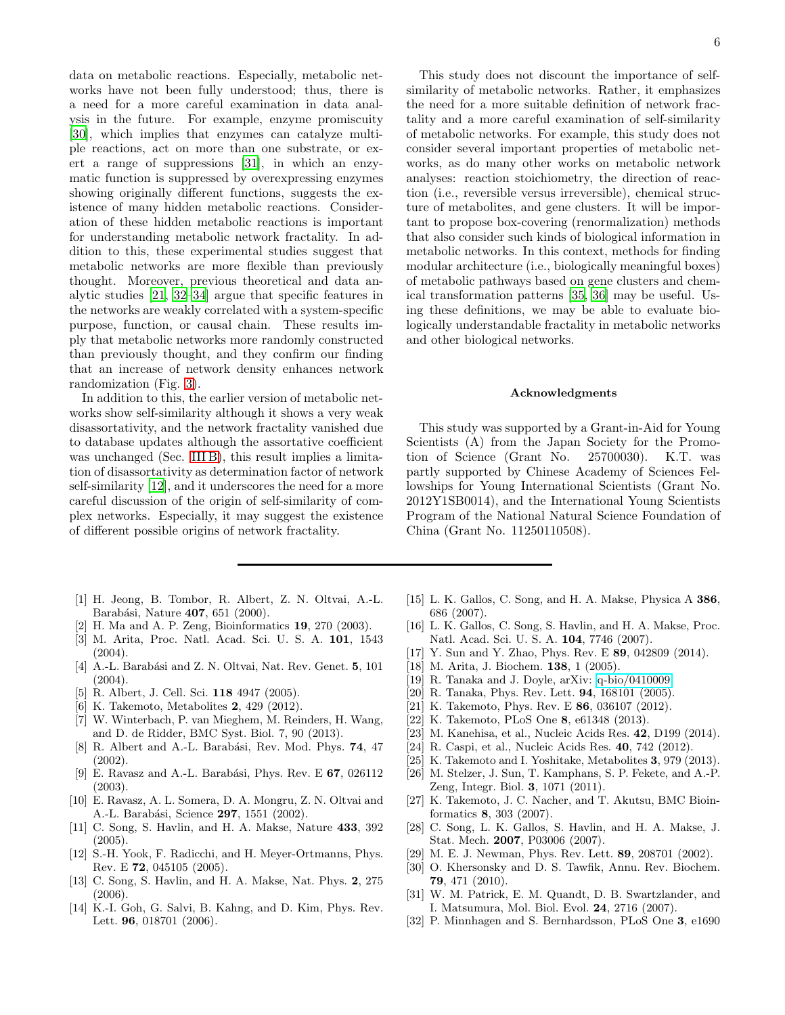data on metabolic reactions. Especially, metabolic networks have not been fully understood; thus, there is a need for a more careful examination in data analysis in the future. For example, enzyme promiscuity [\[30\]](#page-5-26), which implies that enzymes can catalyze multiple reactions, act on more than one substrate, or exert a range of suppressions [\[31\]](#page-5-27), in which an enzymatic function is suppressed by overexpressing enzymes showing originally different functions, suggests the existence of many hidden metabolic reactions. Consideration of these hidden metabolic reactions is important for understanding metabolic network fractality. In addition to this, these experimental studies suggest that metabolic networks are more flexible than previously thought. Moreover, previous theoretical and data analytic studies [\[21,](#page-5-15) [32](#page-5-28)[–34\]](#page-6-0) argue that specific features in the networks are weakly correlated with a system-specific purpose, function, or causal chain. These results imply that metabolic networks more randomly constructed than previously thought, and they confirm our finding that an increase of network density enhances network randomization (Fig. [3\)](#page-3-1).

In addition to this, the earlier version of metabolic networks show self-similarity although it shows a very weak disassortativity, and the network fractality vanished due to database updates although the assortative coefficient was unchanged (Sec. [III B\)](#page-2-1), this result implies a limitation of disassortativity as determination factor of network self-similarity [\[12\]](#page-5-8), and it underscores the need for a more careful discussion of the origin of self-similarity of complex networks. Especially, it may suggest the existence of different possible origins of network fractality.

6

This study does not discount the importance of selfsimilarity of metabolic networks. Rather, it emphasizes the need for a more suitable definition of network fractality and a more careful examination of self-similarity of metabolic networks. For example, this study does not consider several important properties of metabolic networks, as do many other works on metabolic network analyses: reaction stoichiometry, the direction of reaction (i.e., reversible versus irreversible), chemical structure of metabolites, and gene clusters. It will be important to propose box-covering (renormalization) methods that also consider such kinds of biological information in metabolic networks. In this context, methods for finding modular architecture (i.e., biologically meaningful boxes) of metabolic pathways based on gene clusters and chemical transformation patterns [\[35,](#page-6-1) [36](#page-6-2)] may be useful. Using these definitions, we may be able to evaluate biologically understandable fractality in metabolic networks and other biological networks.

#### Acknowledgments

This study was supported by a Grant-in-Aid for Young Scientists (A) from the Japan Society for the Promotion of Science (Grant No. 25700030). K.T. was partly supported by Chinese Academy of Sciences Fellowships for Young International Scientists (Grant No. 2012Y1SB0014), and the International Young Scientists Program of the National Natural Science Foundation of China (Grant No. 11250110508).

- <span id="page-5-0"></span>[1] H. Jeong, B. Tombor, R. Albert, Z. N. Oltvai, A.-L. Barabási, Nature 407, 651 (2000).
- <span id="page-5-21"></span>[2] H. Ma and A. P. Zeng, Bioinformatics 19, 270 (2003).
- <span id="page-5-1"></span>[3] M. Arita, Proc. Natl. Acad. Sci. U. S. A. 101, 1543 (2004).
- <span id="page-5-2"></span>[4] A.-L. Barabási and Z. N. Oltvai, Nat. Rev. Genet. 5, 101  $(2004).$
- [5] R. Albert, J. Cell. Sci. 118 4947 (2005).
- [6] K. Takemoto, Metabolites 2, 429 (2012).
- <span id="page-5-3"></span>[7] W. Winterbach, P. van Mieghem, M. Reinders, H. Wang, and D. de Ridder, BMC Syst. Biol. 7, 90 (2013).
- <span id="page-5-4"></span>[8] R. Albert and A.-L. Barabási, Rev. Mod. Phys. 74, 47 (2002).
- <span id="page-5-5"></span>[9] E. Ravasz and A.-L. Barabási, Phys. Rev. E  $67$ , 026112 (2003).
- <span id="page-5-6"></span>[10] E. Ravasz, A. L. Somera, D. A. Mongru, Z. N. Oltvai and A.-L. Barabási, Science 297, 1551 (2002).
- <span id="page-5-7"></span>[11] C. Song, S. Havlin, and H. A. Makse, Nature 433, 392 (2005).
- <span id="page-5-8"></span>[12] S.-H. Yook, F. Radicchi, and H. Meyer-Ortmanns, Phys. Rev. E 72, 045105 (2005).
- <span id="page-5-9"></span>[13] C. Song, S. Havlin, and H. A. Makse, Nat. Phys. 2, 275 (2006).
- <span id="page-5-10"></span>[14] K.-I. Goh, G. Salvi, B. Kahng, and D. Kim, Phys. Rev. Lett. **96**, 018701 (2006).
- [15] L. K. Gallos, C. Song, and H. A. Makse, Physica A 386, 686 (2007).
- <span id="page-5-24"></span>[16] L. K. Gallos, C. Song, S. Havlin, and H. A. Makse, Proc. Natl. Acad. Sci. U. S. A. 104, 7746 (2007).
- <span id="page-5-11"></span>[17] Y. Sun and Y. Zhao, Phys. Rev. E 89, 042809 (2014).
- <span id="page-5-12"></span>[18] M. Arita, J. Biochem. **138**, 1 (2005).
- <span id="page-5-13"></span>[19] R. Tanaka and J. Doyle, arXiv: [q-bio/0410009.](http://arxiv.org/abs/q-bio/0410009)
- <span id="page-5-14"></span>[20] R. Tanaka, Phys. Rev. Lett. 94, 168101 (2005).
- <span id="page-5-15"></span>[21] K. Takemoto, Phys. Rev. E 86, 036107 (2012).
- <span id="page-5-16"></span>[22] K. Takemoto, PLoS One 8, e61348 (2013).
- <span id="page-5-17"></span>[23] M. Kanehisa, et al., Nucleic Acids Res. 42, D199 (2014).
- <span id="page-5-18"></span>[24] R. Caspi, et al., Nucleic Acids Res. 40, 742 (2012).
- <span id="page-5-19"></span>[25] K. Takemoto and I. Yoshitake, Metabolites 3, 979 (2013).
- <span id="page-5-20"></span>[26] M. Stelzer, J. Sun, T. Kamphans, S. P. Fekete, and A.-P. Zeng, Integr. Biol. 3, 1071 (2011).
- <span id="page-5-22"></span>[27] K. Takemoto, J. C. Nacher, and T. Akutsu, BMC Bioinformatics 8, 303 (2007).
- <span id="page-5-23"></span>[28] C. Song, L. K. Gallos, S. Havlin, and H. A. Makse, J. Stat. Mech. 2007, P03006 (2007).
- <span id="page-5-26"></span><span id="page-5-25"></span>
- [29] M. E. J. Newman, Phys. Rev. Lett. **89**, 208701 (2002).<br>[30] O. Khersonsky and D. S. Tawfik, Annu. Rev. Biochen [30] O. Khersonsky and D. S. Tawfik, Annu. Rev. Biochem. 79, 471 (2010).
- <span id="page-5-27"></span>[31] W. M. Patrick, E. M. Quandt, D. B. Swartzlander, and I. Matsumura, Mol. Biol. Evol. 24, 2716 (2007).
- <span id="page-5-28"></span>[32] P. Minnhagen and S. Bernhardsson, PLoS One 3, e1690